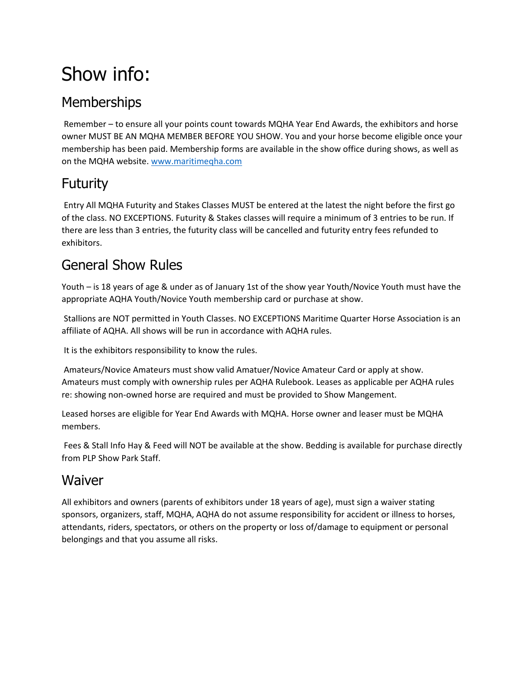# Show info:

# **Memberships**

Remember – to ensure all your points count towards MQHA Year End Awards, the exhibitors and horse owner MUST BE AN MQHA MEMBER BEFORE YOU SHOW. You and your horse become eligible once your membership has been paid. Membership forms are available in the show office during shows, as well as on the MQHA website. [www.maritimeqha.com](http://www.maritimeqha.com/)

# Futurity

Entry All MQHA Futurity and Stakes Classes MUST be entered at the latest the night before the first go of the class. NO EXCEPTIONS. Futurity & Stakes classes will require a minimum of 3 entries to be run. If there are less than 3 entries, the futurity class will be cancelled and futurity entry fees refunded to exhibitors.

# General Show Rules

Youth – is 18 years of age & under as of January 1st of the show year Youth/Novice Youth must have the appropriate AQHA Youth/Novice Youth membership card or purchase at show.

Stallions are NOT permitted in Youth Classes. NO EXCEPTIONS Maritime Quarter Horse Association is an affiliate of AQHA. All shows will be run in accordance with AQHA rules.

It is the exhibitors responsibility to know the rules.

Amateurs/Novice Amateurs must show valid Amatuer/Novice Amateur Card or apply at show. Amateurs must comply with ownership rules per AQHA Rulebook. Leases as applicable per AQHA rules re: showing non-owned horse are required and must be provided to Show Mangement.

Leased horses are eligible for Year End Awards with MQHA. Horse owner and leaser must be MQHA members.

Fees & Stall Info Hay & Feed will NOT be available at the show. Bedding is available for purchase directly from PLP Show Park Staff.

# **Waiver**

All exhibitors and owners (parents of exhibitors under 18 years of age), must sign a waiver stating sponsors, organizers, staff, MQHA, AQHA do not assume responsibility for accident or illness to horses, attendants, riders, spectators, or others on the property or loss of/damage to equipment or personal belongings and that you assume all risks.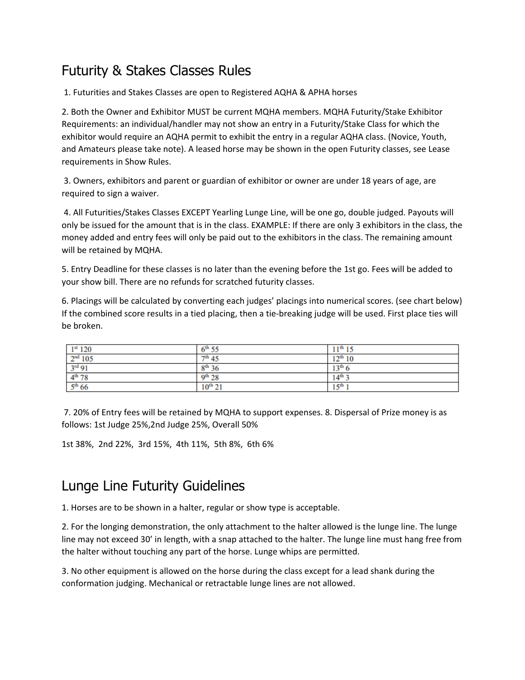#### Futurity & Stakes Classes Rules

1. Futurities and Stakes Classes are open to Registered AQHA & APHA horses

2. Both the Owner and Exhibitor MUST be current MQHA members. MQHA Futurity/Stake Exhibitor Requirements: an individual/handler may not show an entry in a Futurity/Stake Class for which the exhibitor would require an AQHA permit to exhibit the entry in a regular AQHA class. (Novice, Youth, and Amateurs please take note). A leased horse may be shown in the open Futurity classes, see Lease requirements in Show Rules.

3. Owners, exhibitors and parent or guardian of exhibitor or owner are under 18 years of age, are required to sign a waiver.

4. All Futurities/Stakes Classes EXCEPT Yearling Lunge Line, will be one go, double judged. Payouts will only be issued for the amount that is in the class. EXAMPLE: If there are only 3 exhibitors in the class, the money added and entry fees will only be paid out to the exhibitors in the class. The remaining amount will be retained by MQHA.

5. Entry Deadline for these classes is no later than the evening before the 1st go. Fees will be added to your show bill. There are no refunds for scratched futurity classes.

6. Placings will be calculated by converting each judges' placings into numerical scores. (see chart below) If the combined score results in a tied placing, then a tie-breaking judge will be used. First place ties will be broken.

| $1^{st} 120$                         | 55<br>6 <sup>th</sup> | $41^{\rm th}$<br>15   |
|--------------------------------------|-----------------------|-----------------------|
| 2 <sup>nd</sup> 105                  | 7 <sup>th</sup> 45    | $12^{th} 10$          |
| 3 <sup>rd</sup> 91<br>$\overline{v}$ | 36<br>8 <sup>th</sup> | 13 <sup>th</sup><br>O |
| $4^{th}$ 78                          | 28<br>Qth             | $14^{\text{th}}$      |
| 5 <sup>th</sup> 66                   | $10^{th}$ 21          | $15^{\text{th}}$      |

7. 20% of Entry fees will be retained by MQHA to support expenses. 8. Dispersal of Prize money is as follows: 1st Judge 25%,2nd Judge 25%, Overall 50%

1st 38%, 2nd 22%, 3rd 15%, 4th 11%, 5th 8%, 6th 6%

#### Lunge Line Futurity Guidelines

1. Horses are to be shown in a halter, regular or show type is acceptable.

2. For the longing demonstration, the only attachment to the halter allowed is the lunge line. The lunge line may not exceed 30' in length, with a snap attached to the halter. The lunge line must hang free from the halter without touching any part of the horse. Lunge whips are permitted.

3. No other equipment is allowed on the horse during the class except for a lead shank during the conformation judging. Mechanical or retractable lunge lines are not allowed.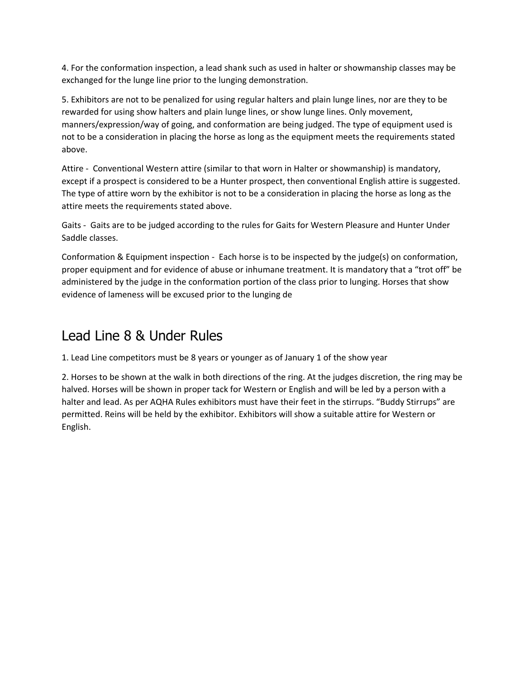4. For the conformation inspection, a lead shank such as used in halter or showmanship classes may be exchanged for the lunge line prior to the lunging demonstration.

5. Exhibitors are not to be penalized for using regular halters and plain lunge lines, nor are they to be rewarded for using show halters and plain lunge lines, or show lunge lines. Only movement, manners/expression/way of going, and conformation are being judged. The type of equipment used is not to be a consideration in placing the horse as long as the equipment meets the requirements stated above.

Attire - Conventional Western attire (similar to that worn in Halter or showmanship) is mandatory, except if a prospect is considered to be a Hunter prospect, then conventional English attire is suggested. The type of attire worn by the exhibitor is not to be a consideration in placing the horse as long as the attire meets the requirements stated above.

Gaits - Gaits are to be judged according to the rules for Gaits for Western Pleasure and Hunter Under Saddle classes.

Conformation & Equipment inspection - Each horse is to be inspected by the judge(s) on conformation, proper equipment and for evidence of abuse or inhumane treatment. It is mandatory that a "trot off" be administered by the judge in the conformation portion of the class prior to lunging. Horses that show evidence of lameness will be excused prior to the lunging de

#### Lead Line 8 & Under Rules

1. Lead Line competitors must be 8 years or younger as of January 1 of the show year

2. Horses to be shown at the walk in both directions of the ring. At the judges discretion, the ring may be halved. Horses will be shown in proper tack for Western or English and will be led by a person with a halter and lead. As per AQHA Rules exhibitors must have their feet in the stirrups. "Buddy Stirrups" are permitted. Reins will be held by the exhibitor. Exhibitors will show a suitable attire for Western or English.